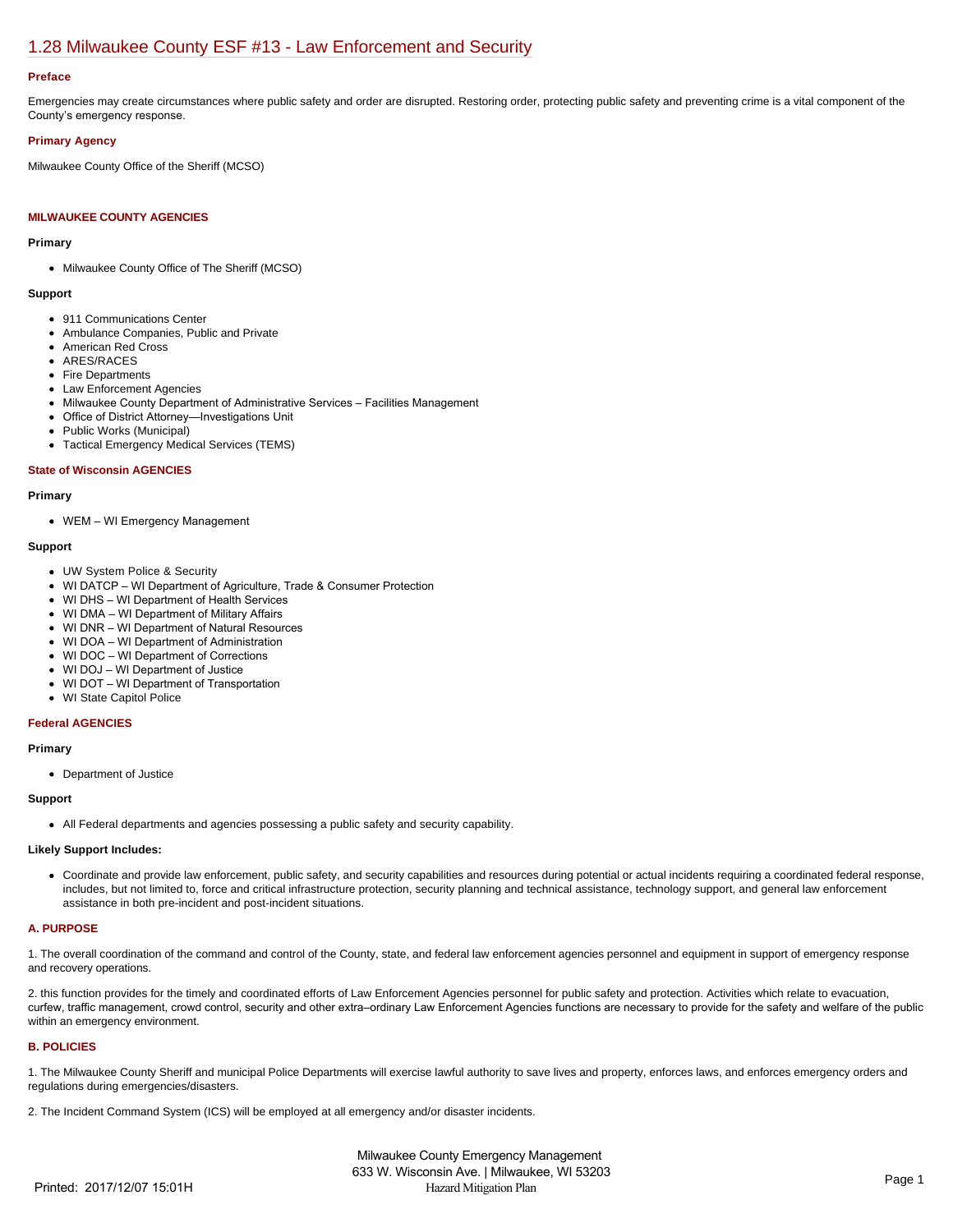# [1.28 Milwaukee County ESF #13 - Law Enforcement and Security](https://milwaukeecounty.isc-cemp.com/Cemp/Details?id=5805904)

### **Preface**

Emergencies may create circumstances where public safety and order are disrupted. Restoring order, protecting public safety and preventing crime is a vital component of the County's emergency response.

## **Primary Agency**

Milwaukee County Office of the Sheriff (MCSO)

## **MILWAUKEE COUNTY AGENCIES**

## **Primary**

• Milwaukee County Office of The Sheriff (MCSO)

#### **Support**

- 911 Communications Center
- Ambulance Companies, Public and Private
- American Red Cross
- ARES/RACES
- Fire Departments
- Law Enforcement Agencies
- Milwaukee County Department of Administrative Services Facilities Management
- Office of District Attorney—Investigations Unit
- Public Works (Municipal)
- Tactical Emergency Medical Services (TEMS)

#### **State of Wisconsin AGENCIES**

#### **Primary**

WEM – WI Emergency Management

#### **Support**

- UW System Police & Security
- WI DATCP WI Department of Agriculture, Trade & Consumer Protection
- WI DHS WI Department of Health Services
- WI DMA WI Department of Military Affairs
- WI DNR WI Department of Natural Resources
- WI DOA WI Department of Administration
- WI DOC WI Department of Corrections
- WI DOJ WI Department of Justice
- WI DOT WI Department of Transportation
- WI State Capitol Police

## **Federal AGENCIES**

#### **Primary**

Department of Justice

#### **Support**

All Federal departments and agencies possessing a public safety and security capability.

### **Likely Support Includes:**

Coordinate and provide law enforcement, public safety, and security capabilities and resources during potential or actual incidents requiring a coordinated federal response, includes, but not limited to, force and critical infrastructure protection, security planning and technical assistance, technology support, and general law enforcement assistance in both pre-incident and post-incident situations.

## **A. PURPOSE**

1. The overall coordination of the command and control of the County, state, and federal law enforcement agencies personnel and equipment in support of emergency response and recovery operations.

2. this function provides for the timely and coordinated efforts of Law Enforcement Agencies personnel for public safety and protection. Activities which relate to evacuation, curfew, traffic management, crowd control, security and other extra–ordinary Law Enforcement Agencies functions are necessary to provide for the safety and welfare of the public within an emergency environment.

### **B. POLICIES**

1. The Milwaukee County Sheriff and municipal Police Departments will exercise lawful authority to save lives and property, enforces laws, and enforces emergency orders and regulations during emergencies/disasters.

2. The Incident Command System (ICS) will be employed at all emergency and/or disaster incidents.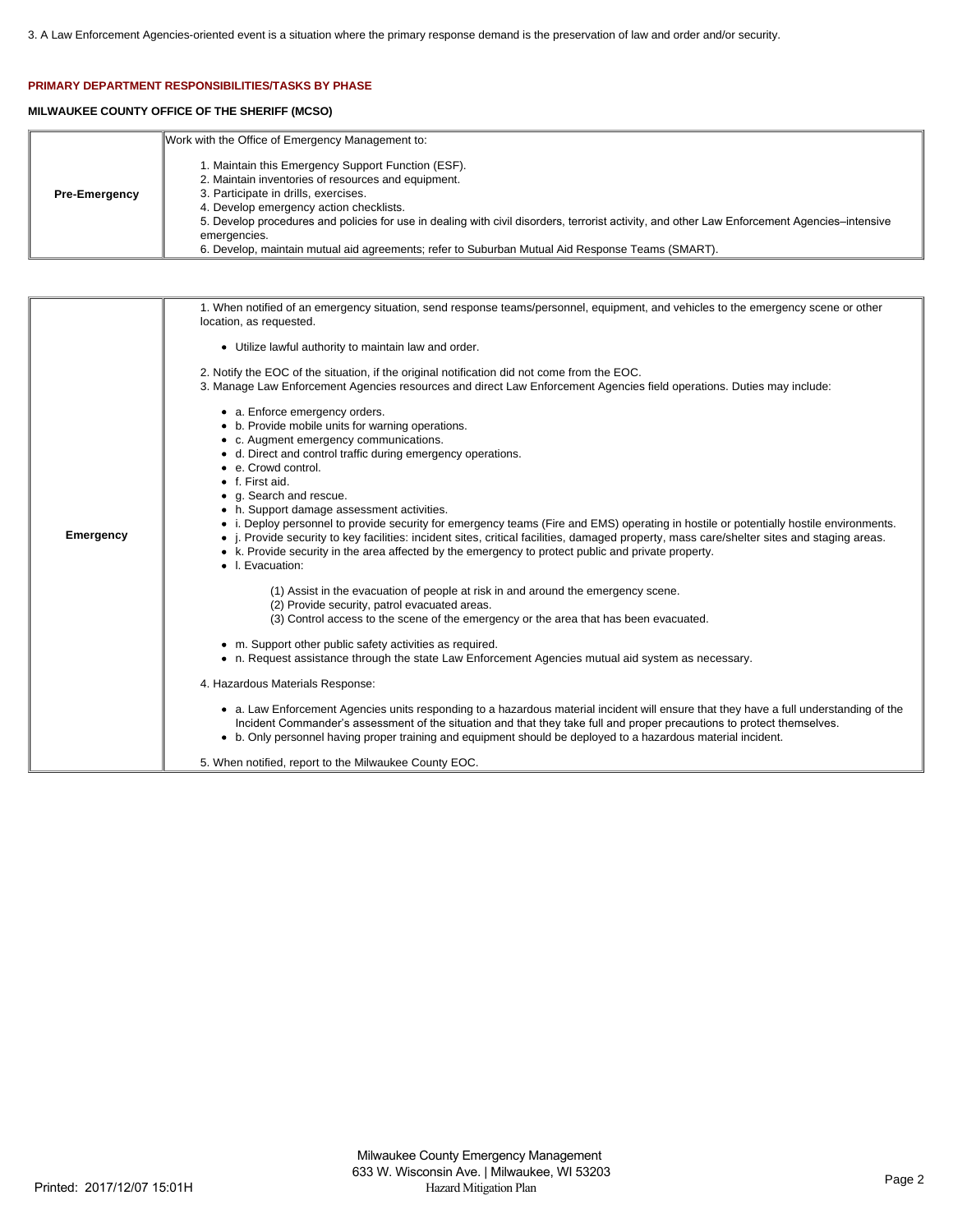## **PRIMARY DEPARTMENT RESPONSIBILITIES/TASKS BY PHASE**

# **MILWAUKEE COUNTY OFFICE OF THE SHERIFF (MCSO)**

|                      | Work with the Office of Emergency Management to:                                                                                                                                                                                                                                                                                                                                                                                                                |
|----------------------|-----------------------------------------------------------------------------------------------------------------------------------------------------------------------------------------------------------------------------------------------------------------------------------------------------------------------------------------------------------------------------------------------------------------------------------------------------------------|
| <b>Pre-Emergency</b> | . Maintain this Emergency Support Function (ESF).<br>2. Maintain inventories of resources and equipment.<br>3. Participate in drills, exercises.<br>4. Develop emergency action checklists.<br>5. Develop procedures and policies for use in dealing with civil disorders, terrorist activity, and other Law Enforcement Agencies–intensive<br>emergencies.<br>6. Develop, maintain mutual aid agreements; refer to Suburban Mutual Aid Response Teams (SMART). |

| <b>Emergency</b> | 1. When notified of an emergency situation, send response teams/personnel, equipment, and vehicles to the emergency scene or other<br>location, as requested.                                                                                                                                                                                                                                                                                                                                                                                                                                                                                                                                                                                      |
|------------------|----------------------------------------------------------------------------------------------------------------------------------------------------------------------------------------------------------------------------------------------------------------------------------------------------------------------------------------------------------------------------------------------------------------------------------------------------------------------------------------------------------------------------------------------------------------------------------------------------------------------------------------------------------------------------------------------------------------------------------------------------|
|                  | • Utilize lawful authority to maintain law and order.                                                                                                                                                                                                                                                                                                                                                                                                                                                                                                                                                                                                                                                                                              |
|                  | 2. Notify the EOC of the situation, if the original notification did not come from the EOC.<br>3. Manage Law Enforcement Agencies resources and direct Law Enforcement Agencies field operations. Duties may include:                                                                                                                                                                                                                                                                                                                                                                                                                                                                                                                              |
|                  | • a. Enforce emergency orders.<br>• b. Provide mobile units for warning operations.<br>• c. Augment emergency communications.<br>• d. Direct and control traffic during emergency operations.<br>• e. Crowd control.<br>$\bullet$ f. First aid.<br>• g. Search and rescue.<br>• h. Support damage assessment activities.<br>• i. Deploy personnel to provide security for emergency teams (Fire and EMS) operating in hostile or potentially hostile environments.<br>• <i>i.</i> Provide security to key facilities: incident sites, critical facilities, damaged property, mass care/shelter sites and staging areas.<br>• k. Provide security in the area affected by the emergency to protect public and private property.<br>• I. Evacuation: |
|                  | (1) Assist in the evacuation of people at risk in and around the emergency scene.<br>(2) Provide security, patrol evacuated areas.<br>(3) Control access to the scene of the emergency or the area that has been evacuated.                                                                                                                                                                                                                                                                                                                                                                                                                                                                                                                        |
|                  | • m. Support other public safety activities as required.<br>• n. Request assistance through the state Law Enforcement Agencies mutual aid system as necessary.                                                                                                                                                                                                                                                                                                                                                                                                                                                                                                                                                                                     |
|                  | 4. Hazardous Materials Response:                                                                                                                                                                                                                                                                                                                                                                                                                                                                                                                                                                                                                                                                                                                   |
|                  | • a. Law Enforcement Agencies units responding to a hazardous material incident will ensure that they have a full understanding of the<br>Incident Commander's assessment of the situation and that they take full and proper precautions to protect themselves.<br>• b. Only personnel having proper training and equipment should be deployed to a hazardous material incident.                                                                                                                                                                                                                                                                                                                                                                  |
|                  | 5. When notified, report to the Milwaukee County EOC.                                                                                                                                                                                                                                                                                                                                                                                                                                                                                                                                                                                                                                                                                              |